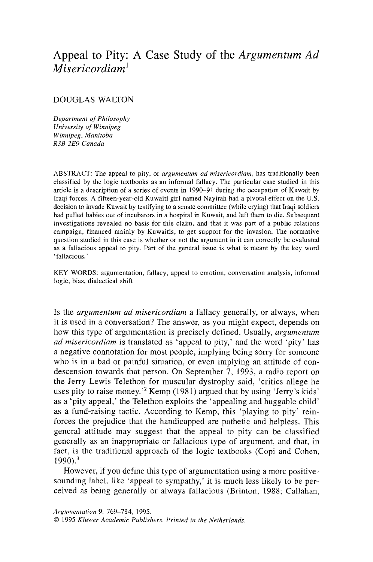# **Appeal to Pity: A Case Study of the** *Argumentum Ad*   $Misericordin<sup>1</sup>$

## DOUGLAS WALTON

*Department of Philosophy University of Winnipeg Winnipeg, Manitoba R3B 2E9 Canada* 

ABSTRACT: The appeal to pity, or *argumentum ad misericordiam,* has traditionally been classified by the logic textbooks as an informal fallacy. The particular case studied in this article is a description of a series of events in 1990-91 during the occupation of Kuwait by Iraqi forces. A fifteen-year-old Kuwaiti girl named Nayirah had a pivotal effect on the U.S. decision to invade Kuwait by testifying to a senate committee (while crying) that Iraqi soldiers had pulled babies out of incubators in a hospital in Kuwait, and left them to die. Subsequent investigations revealed no basis for this claim, and that it was part of a public relations campaign, financed mainly by Kuwaitis, to get support for the invasion. The normative question studied in this case is whether or not the argument in it can correctly be evaluated as a fallacious appeal to pity. Part of the general issue is what is meant by the key word 'fallacious.'

KEY WORDS: argumentation, fallacy, appeal to emotion, conversation analysis, informal logic, bias, dialectical shift

Is the *argumentum ad misericordiam* a fallacy generally, or always, when it is used in a conversation? The answer, as you might expect, depends on how this type of argumentation is precisely defined. Usually, *argumentum ad misericordiam* is translated as 'appeal to pity,' and the word 'pity' has a negative connotation for most people, implying being sorry for someone who is in a bad or painful situation, or even implying an attitude of condescension towards that person. On September 7, 1993, a radio report on the Jerry Lewis Telethon for muscular dystrophy said, 'critics allege he uses pity to raise money.<sup>2</sup> Kemp (1981) argued that by using 'Jerry's kids' as a 'pity appeal,' the Telethon exploits the 'appealing and huggable child' as a fund-raising tactic. According to Kemp, this 'playing to pity' reinforces the prejudice that the handicapped are pathetic and helpless. This general attitude may suggest that the appeal to pity can be classified generally as an inappropriate or fallacious type of argument, and that, in fact, is the traditional approach of the logic textbooks (Copi and Cohen,  $1990$ ).<sup>3</sup>

However, if you define this type of argumentation using a more positivesounding label, like 'appeal to sympathy,' it is much less likely to be perceived as being generally or always fallacious (Brinton, 1988; Callahan,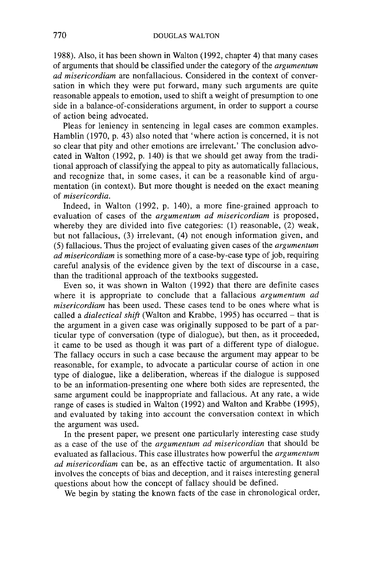1988). Also, it has been shown in Walton (1992, chapter 4) that many cases of arguments that should be classified under the category of the *argumentum ad misericordiam* are nonfallacious. Considered in the context of conversation in which they were put forward, many such arguments are quite reasonable appeals to emotion, used to shift a weight of presumption to one side in a balance-of-considerations argument, in order to support a course of action being advocated.

Pleas for leniency in sentencing in legal cases are common examples. Hamblin (1970, p. 43) also noted that 'where action is concerned, it is not so clear that pity and other emotions are irrelevant.' The conclusion advocated in Walton (1992, p. 140) is that we should get away from the traditional approach of classifying the appeal to pity as automatically fallacious, and recognize that, in some cases, it can be a reasonable kind of argumentation (in context). But more thought is needed on the exact meaning of *misericordia.* 

Indeed, in Walton (1992, p. 140), a more fine-grained approach to evaluation of cases of the *argumentum ad misericordiam* is proposed, whereby they are divided into five categories: (1) reasonable, (2) weak, but not fallacious, (3) irrelevant, (4) not enough information given, and (5) fallacious. Thus the project of evaluating given cases of the *argumentum ad misericordiam* is something more of a case-by-case type of job, requiring careful analysis of the evidence given by the text of discourse in a case, than the traditional approach of the textbooks suggested.

Even so, it was shown in Walton (1992) that there are definite cases where it is appropriate to conclude that a fallacious *argumentum ad misericordiam* has been used. These cases tend to be ones where what is called a *dialectical shift* (Walton and Krabbe, 1995) has occurred - that is the argument in a given case was originally supposed to be part of a particular type of conversation (type of dialogue), but then, as it proceeded, it came to be used as though it was part of a different type of dialogue. The fallacy occurs in such a case because the argument may appear to be reasonable, for example, to advocate a particular course of action in one type of dialogue, like a deliberation, whereas if the dialogue is supposed to be an information-presenting one where both sides are represented, the same argument could be inappropriate and fallacious. At any rate, a wide range of cases is studied in Walton (1992) and Walton and Krabbe (1995), and evaluated by taking into account the conversation context in which the argument was used.

In the present paper, we present one particularly interesting case study as a case of the use of the *argumentum ad misericordian* that should be evaluated as fallacious. This case illustrates how powerful the *argumentum ad misericordiam* can be, as an effective tactic of argumentation. It also involves the concepts of bias and deception, and it raises interesting general questions about how the concept of fallacy should be defined.

We begin by stating the known facts of the case in chronological order,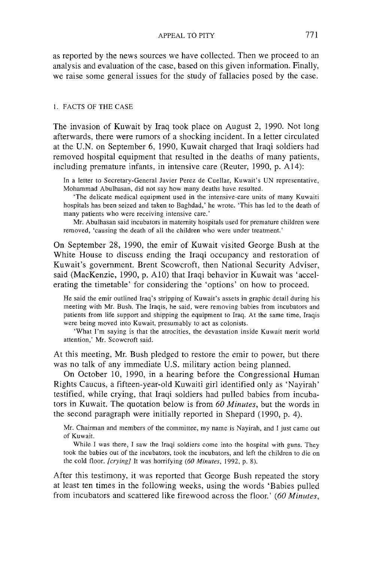as reported by the news sources we have collected. Then we proceed to an analysis and evaluation of the case, based on this given information. Finally, we raise some general issues for the study of fallacies posed by the case.

## 1. FACTS OF THE CASE

The invasion of Kuwait by Iraq took place on August 2, 1990. Not long afterwards, there were rumors of a shocking incident. In a letter circulated at the U.N. on September 6, 1990, Kuwait charged that Iraqi soldiers had removed hospital equipment that resulted in the deaths of many patients, including premature infants, in intensive care (Reuter, 1990, p. A14):

In a letter to Secretary-General Javier Perez de Cuellar, Kuwait's UN representative, Mohammad Abulhasan, did not say how many deaths have resulted.

'The delicate medical equipment used in the intensive-care units of many Kuwaiti hospitals has been seized and taken to Baghdad,' he wrote. 'This has led to the death of many patients who were receiving intensive care.'

Mr. Abulhasan said incubators in maternity hospitals used for premature children were removed, 'causing the death of all the children who were under treatment.'

On September 28, 1990, the emir of Kuwait visited George Bush at the White House to discuss ending the Iraqi occupancy and restoration of Kuwait's government. Brent Scowcroft, then National Security Adviser, said (MacKenzie, 1990, p. A10) that Iraqi behavior in Kuwait was 'accelerating the timetable' for considering the 'options' on how to proceed.

He said the emir outlined Iraq's stripping of Kuwait's assets in graphic detail during his meeting with Mr. Bush. The Iraqis, he said, were removing babies from incubators and patients from life support and shipping the equipment to Iraq. At the same time, Iraqis were being moved into Kuwait, presumably to act as colonists.

'What I'm saying is that the atrocities, the devastation inside Kuwait merit world attention,' Mr. Scowcroft said.

At this meeting, Mr. Bush pledged to restore the emir to power, but there was no talk of any immediate U.S. military action being planned.

On October 10, 1990, in a hearing before the Congressional Human Rights Caucus, a fifteen-year-old Kuwaiti girl identified only as 'Nayirah' testified, while crying, that Iraqi soldiers had pulled babies from incubators in Kuwait. The quotation below is from *60 Minutes,* but the words in the second paragraph were initially reported in Shepard (1990, p. 4).

Mr. Chairman and members of the committee, my name is Nayirah, and I just came out of Kuwait.

While I was there, I saw the Iraqi soldiers come into the hospital with guns. They took the babies out of the incubators, took the incubators, and left the children to die on the cold floor. *[crying]* It was horrifying *(60 Minutes,* 1992, p. 8).

After this testimony, it was reported that George Bush repeated the story at least ten times in the following weeks, using the words 'Babies pulled from incubators and scattered like firewood across the floor.' *(60 Minutes,*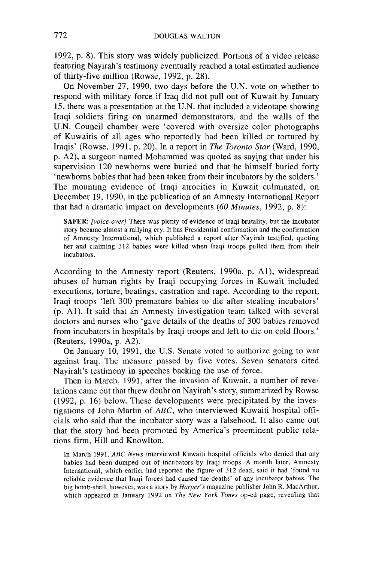1992, p. 8). This story was widely publicized. Portions of a video release featuring Nayirah's testimony eventually reached a total estimated audience of thirty-five million (Rowse, 1992, p. 28).

On November 27, 1990, two days before the U.N. vote on whether to respond with military force if Iraq did not pull out of Kuwait by January 15, there was a presentation at the U.N. that included a videotape showing Iraqi soldiers firing on unarmed demonstrators, and the walls of the U.N. Council chamber were 'covered with oversize color photographs of Kuwaitis of all ages who reportedly had been killed or tortured by Iraqis' (Rowse, 1991, p. 20). In a report in *The Toronto Star* (Ward, 1990, p. A2), a surgeon named Mohammed was quoted as saying that under his supervision 120 newborns were buried and that he himself buried forty 'newborns babies that had been taken from their incubators by the solders.' The mounting evidence of Iraqi atrocities in Kuwait culminated, on December 19, 1990, in the publication of an Amnesty International Report that had a dramatic impact on developments *(60 Minutes,* 1992, p. 8):

**SAFER:** *[voice-over]* There was plenty of evidence of Iraqi brutality, but the incubator story became almost a rallying cry. It has Presidential confirmation and the confirmation of Amnesty International, which published a report after Nayirah testified, quoting her and claiming 312 babies were killed when Iraqi troops pulled them from their incubators.

According to the Amnesty report (Reuters, 1990a, p. A1), widespread abuses of human rights by Iraqi occupying forces in Kuwait included executions, torture, beatings, castration and rape. According to the report, Iraqi troops 'left 300 premature babies to die after stealing incubators' (p. A1). It said that an Amnesty investigation team talked with several doctors and nurses who 'gave details of the deaths of 300 babies removed from incubators in hospitals by Iraqi troops and left to die on cold floors.' (Reuters, 1990a, p. A2).

On January 10, 1991, the U.S. Senate voted to authorize going to war against Iraq. The measure passed by five votes. Seven senators cited Nayirah's testimony in speeches backing the use of force.

Then in March, 1991, after the invasion of Kuwait, a number of revelations came out that threw doubt on Nayirah's story, summarized by Rowse (1992, p. 16) below. These developments were precipitated by the investigations of John Martin of *ABC,* who interviewed Kuwaiti hospital officials who said that the incubator story was a falsehood. It also came out that the story had been promoted by America's preeminent public relations firm, Hill and Knowlton.

In March 1991, *ABC News* interviewed Kuwaiti hospital officials who denied that any babies had been dumped out of incubators by Iraqi troops. A month later, Amnesty International, which earlier had reported the figure of 312 dead, said it had 'found no reliable evidence that Iraqi forces had caused the deaths' of any incubator babies. The big bomb-shell, however, was a story by *Harper's* magazine publisher John R. MacArthur, which appeared in January 1992 on *The New York Times* op-ed page, revealing that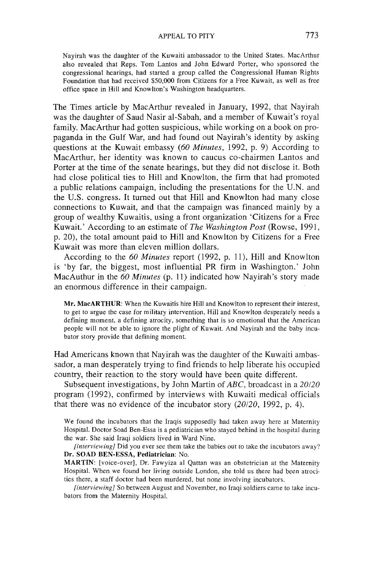Nayirah was the daughter of the Kuwaiti ambassador to the United States. MacArthur also revealed that Reps. Tom Lantos and John Edward Porter, who sponsored the congressional hearings, had started a group called the Congressional Human Rights Foundation that had received \$50,000 from Citizens for a Free Kuwait, as well as free office space in Hill and Knowlton's Washington headquarters.

The Times article by MacArthur revealed in January, 1992, that Nayirah was the daughter of Saud Nasir al-Sabah, and a member of Kuwait's royal family. MacArthur had gotten suspicious, while working on a book on propaganda in the Gulf War, and had found out Nayirah's identity by asking questions at the Kuwait embassy *(60 Minutes,* 1992, p. 9) According to MacArthur, her identity was known to caucus co-chairmen Lantos and Porter at the time of the senate hearings, but they did not disclose it. Both had close political ties to Hill and Knowlton, the firm that had promoted a public relations campaign, including the presentations for the U.N. and the U.S. congress. It turned out that Hill and Knowlton had many close connections to Kuwait, and that the campaign was financed mainly by a group of wealthy Kuwaitis, using a front organization 'Citizens for a Free Kuwait.' According to an estimate of *The Washington Post* (Rowse, 1991, p. 20), the total amount paid to Hill and Knowlton by Citizens for a Free Kuwait was more than eleven million dollars.

According to the *60 Minutes* report (1992, p. 11), Hill and Knowlton is 'by far, the biggest, most influential PR firm in Washington.' John MacAuthur in the *60 Minutes* (p. 11) indicated how Nayirah's story made an enormous difference in their campaign.

Mr. MacARTHUR: When the Kuwaitis hire Hill and Know!ton to represent their interest, to get to argue the case for military intervention, Hill and Knowlton desperately needs a defining moment, a defining atrocity, something that is so emotional that the American people will not be able to ignore the plight of Kuwait. And Nayirah and the baby incubator story provide that defining moment.

Had Americans known that Nayirah was the daughter of the Kuwaiti ambassador, a man desperately trying to find friends to help liberate his occupied country, their reaction to the story would have been quite different.

Subsequent investigations, by John Martin of *ABC,* broadcast in a *20/20*  program (1992), confirmed by interviews with Kuwaiti medical officials that there was no evidence of the incubator story *(20/20,* 1992, p. 4).

We found the incubators that the Iraqis supposedly had taken away here at Maternity Hospital. Doctor Soad Ben-Essa is a pediatrician who stayed behind in the hospital during the war. She said Iraqi soldiers lived in Ward Nine.

*[interviewing]* Did you ever see them take the babies out to take the incubators away? **Dr. SOAD BEN-ESSA, Pediatrician:** No.

**MARTIN:** [voice-over], Dr. Fawyiza al Qattan was an obstetrician at the Maternity Hospital. When we found her living outside London, she told us there had been atrocities there, a staff doctor had been murdered, but none involving incubators.

*[interviewing]* So between August and November, no Iraqi soldiers came to take incubators from the Maternity Hospital.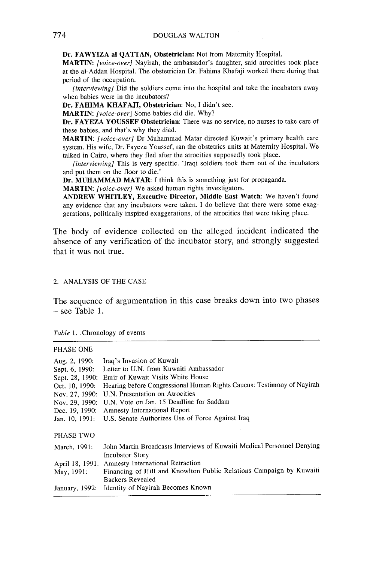**Dr.** FAWYIZA al QATTAN, **Obstetrician:** Not from Maternity Hospital.

MARTIN: *[voice-over]* Nayirah, the ambassador's daughter, said atrocities took place at the al-Addan Hospital. The obstetrician Dr. Fahima Khafaji worked there during that period of the occupation.

*linterviewing]* Did the soldiers come into the hospital and take the incubators away when babies were in the incubators?

Dr. FAHIMA KHAFAJI, Obstetrician: No, I didn't see.

MARTIN: *[voice-over]* Some babies did die. Why?

**Dr. FAYEZA YOUSSEF Obstetrician:** There was no service, no nurses to take care of these babies, and that's why they died.

MARTIN: *[voice-over]* Dr Muhammad Matar directed Kuwait's primary health care system. His wife, Dr. Fayeza Youssef, ran the obstetrics units at Maternity Hospital. We talked in Cairo, where they fled after the atrocities supposedly took place.

*linterviewing]* This is very specific. 'Iraqi soldiers took them out of the incubators and put them on the floor to die.'

**Dr.** MUHAMMAD MATAR: I think this is something just for propaganda.

MARTIN: *[voice-over]* We asked human rights investigators.

ANDREW **WHITLEY, Executive Director, Middle East Watch:** We haven't found any evidence that any incubators were taken. I do believe that there were some exaggerations, politically inspired exaggerations, of the atrocities that were taking place.

The body of evidence collected on the alleged incident indicated the absence of any verification of the incubator story, and strongly suggested that it was not true.

### 2. ANALYSIS OF THE CASE

The sequence of argumentation in this case breaks down into two phases - see Table 1.

*Table 1.,Chronology* of events

| PHASE ONE       |                                                                        |
|-----------------|------------------------------------------------------------------------|
| Aug. 2, 1990:   | Iraq's Invasion of Kuwait                                              |
| Sept. 6, 1990:  | Letter to U.N. from Kuwaiti Ambassador                                 |
| Sept. 28, 1990: | Emir of Kuwait Visits White House                                      |
| Oct. 10, 1990:  | Hearing before Congressional Human Rights Caucus: Testimony of Nayirah |
| Nov. 27, 1990:  | <b>ILN.</b> Presentation on Atrocities                                 |
| Nov. 29, 1990:  | U.N. Vote on Jan. 15 Deadline for Saddam                               |
| Dec. 19, 1990.  | Amnesty International Report                                           |
| Jan. 10, 1991:  | U.S. Senate Authorizes Use of Force Against Iraq                       |
| PHASE TWO       |                                                                        |
| March, 1991.    | John Martin Broadcasts Interviews of Kuwaiti Medical Personnel Denying |
|                 | Incubator Story                                                        |
| April 18, 1991: | <b>Amnesty International Retraction</b>                                |
| May, 1991:      | Financing of Hill and Knowlton Public Relations Campaign by Kuwaiti    |
|                 | <b>Backers Revealed</b>                                                |
| January, 1992:  | Identity of Nayirah Becomes Known                                      |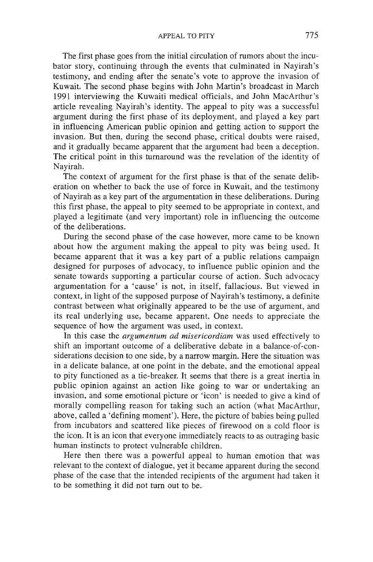The first phase goes from the initial circulation of rumors about the incubator story, continuing through the events that culminated in Nayirah's testimony, and ending after the senate's vote to approve the invasion of Kuwait. The second phase begins with John Martin's broadcast in March 1991 interviewing the Kuwaiti medical officials, and John MacArthur's article revealing Nayirah's identity. The appeal to pity was a successful argument during the first phase of its deployment, and played a key part in influencing American public opinion and getting action to support the invasion. But then, during the second phase, critical doubts were raised, and it gradually became apparent that the argument had been a deception. The critical point in this turnaround was the revelation of the identity of Nayirah.

The context of argument for the first phase is that of the senate deliberation on whether to back the use of force in Kuwait, and the testimony of Nayirah as a key part of the argumentation in these deliberations. During this first phase, the appeal to pity seemed to be appropriate in context, and played a legitimate (and very important) role in influencing the outcome of the deliberations.

During the second phase of the case however, more came to be known about how the argument making the appeal to pity was being used. It became apparent that it was a key part of a public relations campaign designed for purposes of advocacy, to influence public opinion and the senate towards supporting a particular course of action. Such advocacy argumentation for a 'cause' is not, in itself, fallacious. But viewed in context, in light of the supposed purpose of Nayirah's testimony, a definite contrast between what originally appeared to be the use of argument, and its real underlying use, became apparent. One needs to appreciate the sequence of how the argument was used, in context.

In this case the *argumentum ad misericordiam* was used effectively to shift an important outcome of a deliberative debate in a balance-of-considerations decision to one side, by a narrow margin. Here the situation was in a delicate balance, at one point in the debate, and the emotional appeal to pity functioned as a tie-breaker. It seems that there is a great inertia in public opinion against an action like going to war or undertaking an invasion, and some emotional picture or 'icon' is needed to give a kind of morally compelling reason for taking such an action (what MacArthur, above, called a 'defining moment'). Here, the picture of babies being pulled from incubators and scattered like pieces of firewood on a cold floor is the icon. It is an icon that everyone immediately reacts to as outraging basic human instincts to protect vulnerable children.

Here then there was a powerful appeal to human emotion that was relevant to the context of dialogue, yet it became apparent during the second phase of the case that the intended recipients of the argument had taken it to be something it did not turn out to be.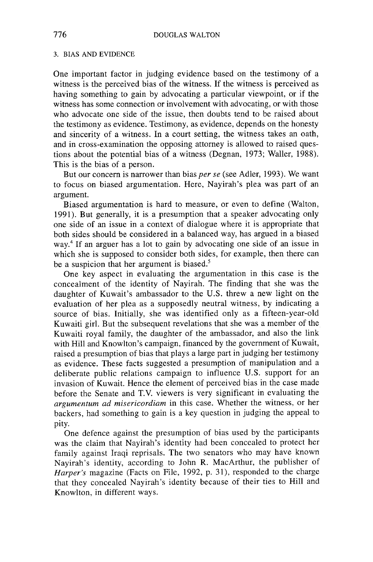#### 3. BIAS AND EVIDENCE

One important factor in judging evidence based on the testimony of a witness is the perceived bias of the witness. If the witness is perceived as having something to gain by advocating a particular viewpoint, or if the witness has some connection or involvement with advocating, or with those who advocate one side of the issue, then doubts tend to be raised about the testimony as evidence. Testimony, as evidence, depends on the honesty and sincerity of a witness. In a court setting, the witness takes an oath, and in cross-examination the opposing attorney is allowed to raised questions about the potential bias of a witness (Degnan, 1973; Waller, 1988). This is the bias of a person.

But our concern is narrower than bias *per se* (see Adler, 1993). We want to focus on biased argumentation. Here, Nayirah's plea was part of an argument.

Biased argumentation is hard to measure, or even to define (Walton, 1991). But generally, it is a presumption that a speaker advocating only one side of an issue in a context of dialogue where it is appropriate that both sides should be considered in a balanced way, has argued in a biased way.<sup>4</sup> If an arguer has a lot to gain by advocating one side of an issue in which she is supposed to consider both sides, for example, then there can be a suspicion that her argument is biased.<sup>5</sup>

One key aspect in evaluating the argumentation in this case is the concealment of the identity of Nayirah. The finding that she was the daughter of Kuwait's ambassador to the U.S. threw a new light on the evaluation of her plea as a supposedly neutral witness, by indicating a source of bias. Initially, she was identified only as a fifteen-year-old Kuwaiti girl. But the subsequent revelations that she was a member of the Kuwaiti royal family, the daughter of the ambassador, and also the link with Hill and Knowlton's campaign, financed by the government of Kuwait, raised a presumption of bias that plays a large part in judging her testimony as evidence. These facts suggested a presumption of manipulation and a deliberate public relations campaign to influence U.S. support for an invasion of Kuwait. Hence the element of perceived bias in the case made before the Senate and T.V. viewers is very significant in evaluating the *argumentum ad misericordiam* in this case. Whether the witness, or her backers, had something to gain is a key question in judging the appeal to pity.

One defence against the presumption of bias used by the participants was the claim that Nayirah's identity had been concealed to protect her family against Iraqi reprisals. The two senators who may have known Nayirah's identity, according to John R. MacArthur, the publisher of *Harper's* magazine (Facts on File, 1992, p. 31), responded to the charge that they concealed Nayirah's identity because of their ties to Hill and Knowlton, in different ways.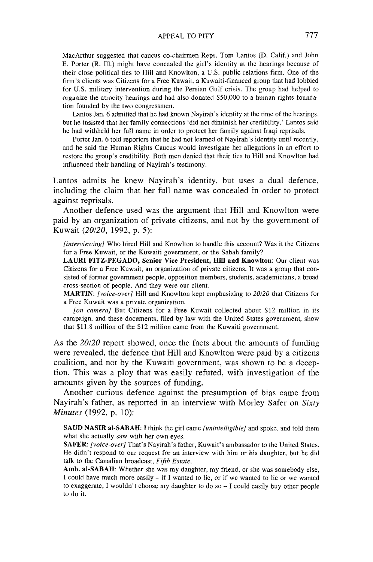MacArthur suggested that caucus co-chairmen Reps. Tom Lantos (D. Calif.) and John E. Porter (R. Ill.) might have concealed the girl's identity at the hearings because of their close political ties to Hill and Knowlton, a U.S. public relations firm. One of the firm's clients was Citizens for a Free Kuwait, a Kuwaiti-financed group that had lobbied for U.S. military intervention during the Persian Gulf crisis. The group had helped to organize the atrocity hearings and had also donated \$50,000 to a human-rights foundation founded by the two congressmen.

Lantos Jan. 6 admitted that he had known Nayirah's identity at the time of the hearings, but he insisted that her family connections 'did not diminish her credibility.' Lantos said he had withheld her full name in order to protect her family against Iraqi reprisals.

Porter Jan. 6 told reporters that he had not learned of Nayirah's identity until recently, and he said the Human Rights Caucus would investigate her allegations in an effort to restore the group's credibility. Both men denied that their ties to Hill and Knowlton had influenced their handling of Nayirah's testimony.

Lantos admits he knew Nayirah's identity, but uses a dual defence, including the claim that her full name was concealed in order to protect against reprisals.

Another defence used was the argument that Hill and Knowlton were paid by an organization of private citizens, and not by the government of Kuwait *(20/20,* 1992, p. 5):

*[interviewing]* Who hired Hill and Knowlton to handle this account? Was it the Citizens for a Free Kuwait, or the Kuwaiti government, or the Sabah family?

**LAURI** FITZ-PEGADO, Senior Vice President, Hill and Knowlton: Our client was Citizens for a Free Kuwait, an organization of private citizens. It was a group that consisted of former government people, opposition members, students, academicians, a broad cross-section of people. And they were our client.

MARTIN: *[voice-over]* Hill and Knowlton kept emphasizing to *20/20* that Citizens for a Free Kuwait was a private organization.

*[on camera]* But Citizens for a Free Kuwait collected about \$12 million in its campaign, and these documents, filed by law with the United States government, show that \$11.8 million of the \$12 million came from the Kuwaiti government.

As the *20/20* report showed, once the facts about the amounts of funding were revealed, the defence that Hill and Knowlton were paid by a citizens coalition, and not by the Kuwaiti government, was shown to be a deception. This was a ploy that was easily refuted, with investigation of the amounts given by the sources of funding.

Another curious defence against the presumption of bias came from Nayirah's father, as reported in an interview with Morley Safer on *Sixty Minutes* (1992, p. 10):

**SAUD NASIR** aI-SABAH: I think the girl came *[unintelligible]* and spoke, and told them what she actually saw with her own eyes.

**SAFER:** *[voice-over]* That's Nayirah's father, Kuwait's ambassador to the United States. He didn't respond to our request for an interview with him or his daughter, but he did talk to the Canadian broadcast, *Fifth Estate.* 

Amb. al-SABAH: Whether she was my daughter, my friend, or she was somebody else, I could have much more easily  $-$  if I wanted to lie, or if we wanted to lie or we wanted to exaggerate, I wouldn't choose my daughter to do so - I could easily buy other people to do it.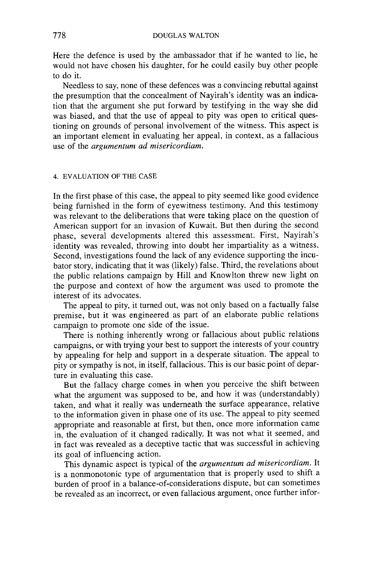Here the defence is used by the ambassador that if he wanted to lie, he would not have chosen his daughter, for he could easily buy other people to do it.

Needless to say, none of these defences was a convincing rebuttal against the presumption that the concealment of Nayirah's identity was an indication that the argument she put forward by testifying in the way she did was biased, and that the use of appeal to pity was open to critical questioning on grounds of personal involvement of the witness. This aspect is an important element in evaluating her appeal, in context, as a fallacious use of the *argumentum ad misericordiam.* 

### 4. EVALUATION OF THE CASE

In the first phase of this case, the appeal to pity seemed like good evidence being furnished in the form of eyewitness testimony. And this testimony was relevant to the deliberations that were taking place on the question of American support for an invasion of Kuwait. But then during the second phase, several developments altered this assessment. First, Nayirah's identity was revealed, throwing into doubt her impartiality as a witness. Second, investigations found the lack of any evidence supporting the incubator story, indicating that it was (likely) false. Third, the revelations about the public relations campaign by Hill and Knowlton threw new light on the purpose and context of how the argument was used to promote the interest of its advocates.

The appeal to pity, it turned out, was not only based on a factually false premise, but it was engineered as part of an elaborate public relations campaign to promote one side of the issue.

There is nothing inherently wrong or fallacious about public relations campaigns, or with trying your best to support the interests of your country by appealing for help and support in a desperate situation. The appeal to pity or sympathy is not, in itself, fallacious. This is our basic point of departure in evaluating this case.

But the fallacy charge comes in when you perceive the shift between what the argument was supposed to be, and how it was (understandably) taken, and what it really was underneath the surface appearance, relative to the information given in phase one of its use. The appeal to pity seemed appropriate and reasonable at first, but then, once more information came in, the evaluation of it changed radically. It was not what it seemed, and in fact was revealed as a deceptive tactic that was successful in achieving its goal of influencing action.

This dynamic aspect is typical of the *argumentum ad misericordiam.* It is a nonmonotonic type of argumentation that is properly used to shift a burden of proof in a balance-of-considerations dispute, but can sometimes be revealed as an incorrect, or even fallacious argument, once further infor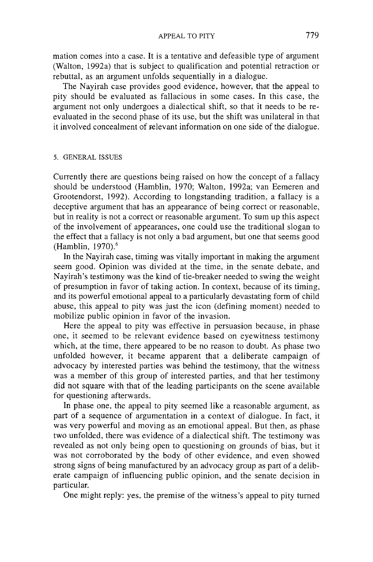mation comes into a case. It is a tentative and defeasible type of argument (Walton, 1992a) that is subject to qualification and potential retraction or rebuttal, as an argument unfolds sequentially in a dialogue.

The Nayirah case provides good evidence, however, that the appeal to pity should be evaluated as fallacious in some cases. In this case, the argument not only undergoes a dialectical shift, so that it needs to be reevaluated in the second phase of its use, but the shift was unilateral in that it involved concealment of relevant information on one side of the dialogue.

#### 5. GENERAL ISSUES

Currently there are questions being raised on how the concept of a fallacy should be understood (Hamblin, 1970; Walton, 1992a; van Eemeren and Grootendorst, 1992). According to longstanding tradition, a fallacy is a deceptive argument that has an appearance of being correct or reasonable, but in reality is not a correct or reasonable argument. To sum up this aspect of the involvement of appearances, one could use the traditional slogan to the effect that a fallacy is not only a bad argument, but one that seems good (Hamblin, 1970). 6

In the Nayirah case, timing was vitally important in making the argument seem good. Opinion was divided at the time, in the senate debate, and Nayirah's testimony was the kind of tie-breaker needed to swing the weight of presumption in favor of taking action. In context, because of its timing, and its powerful emotional appeal to a particularly devastating form of child abuse, this appeal to pity was just the icon (defining moment) needed to mobilize public opinion in favor of the invasion.

Here the appeal to pity was effective in persuasion because, in phase one, it seemed to be relevant evidence based on eyewitness testimony which, at the time, there appeared to be no reason to doubt. As phase two unfolded however, it became apparent that a deliberate campaign of advocacy by interested parties was behind the testimony, that the witness was a member of this group of interested parties, and that her testimony did not square with that of the leading participants on the scene available for questioning afterwards.

In phase one, the appeal to pity seemed like a reasonable argument, as part of a sequence of argumentation in a context of dialogue. In fact, it was very powerful and moving as an emotional appeal. But then, as phase two unfolded, there was evidence of a dialectical shift. The testimony was revealed as not only being open to questioning on grounds of bias, but it was not corroborated by the body of other evidence, and even showed strong signs of being manufactured by an advocacy group as part of a deliberate campaign of influencing public opinion, and the senate decision in particular.

One might reply: yes, the premise of the witness's appeal to pity turned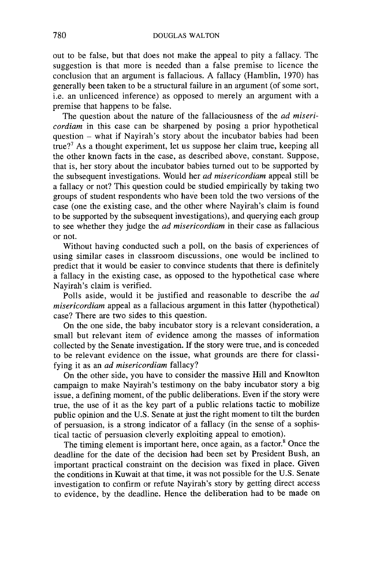out to be false, but that does not make the appeal to pity a fallacy. The suggestion is that more is needed than a false premise to licence the conclusion that an argument is fallacious. A fallacy (Hamblin, 1970) has generally been taken to be a structural failure in an argument (of some sort, i.e. an unlicenced inference) as opposed to merely an argument with a premise that happens to be false.

The question about the nature of the fallaciousness of the *ad misericordiam* in this case can be sharpened by posing a prior hypothetical question - what if Nayirah's story about the incubator babies had been true? 7 As a thought experiment, let us suppose her claim true, keeping all the other known facts in the case, as described above, constant. Suppose, that is, her story about the incubator babies turned out to be supported by the subsequent investigations. Would her *ad misericordiarn* appeal still be a fallacy or not? This question could be studied empirically by taking two groups of student respondents who have been told the two versions of the case (one the existing case, and the other where Nayirah's claim is found to be supported by the subsequent investigations), and querying each group to see whether they judge the *ad misericordiam* in their case as fallacious or not.

Without having conducted such a poll, on the basis of experiences of using similar cases in classroom discussions, one would be inclined to predict that it would be easier to convince students that there is definitely a fallacy in the existing case, as opposed to the hypothetical case where Nayirah's claim is verified.

Polls aside, would it be justified and reasonable to describe the *ad misericordiam* appeal as a fallacious argument in this latter (hypothetical) case? There are two sides to this question.

On the one side, the baby incubator story is a relevant consideration, a small but relevant item of evidence among the masses of information collected by the Senate investigation. If the story were true, and is conceded to be relevant evidence on the issue, what grounds are there for classifying it as an *ad misericordiam* fallacy?

On the other side, you have to consider the massive Hill and Knowlton campaign to make Nayirah's testimony on the baby incubator story a big issue, a defining moment, of the public deliberations. Even if the story were true, the use of it as the key part of a public relations tactic to mobilize public opinion and the U.S. Senate at just the right moment to tilt the burden of persuasion, is a strong indicator of a fallacy (in the sense of a sophistical tactic of persuasion cleverly exploiting appeal to emotion).

The timing element is important here, once again, as a factor.<sup>8</sup> Once the deadline for the date of the decision had been set by President Bush, an important practical constraint on the decision was fixed in place. Given the conditions in Kuwait at that time, it was not possible for the U.S. Senate investigation to confirm or refute Nayirah's story by getting direct access to evidence, by the deadline. Hence the deliberation had to be made on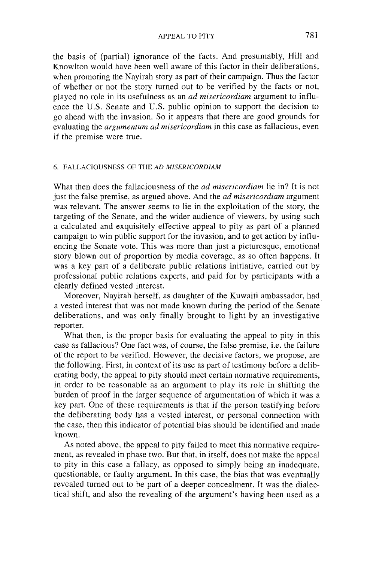the basis of (partial) ignorance of the facts. And presumably, Hill and Knowlton would have been well aware of this factor in their deliberations, when promoting the Nayirah story as part of their campaign. Thus the factor of whether or not the story turned out to be verified by the facts or not, played no role in its usefulness as an *ad misericordiam* argument to influence the U.S. Senate and U.S. public opinion to support the decision to go ahead with the invasion. So it appears that there are good grounds for evaluating the *argumentum ad misericordiam* in this case as fallacious, even if the premise were true.

## 6. FALLACIOUSNESS OF THE *AD MISER1CORDIAM*

What then does the fallaciousness of the *ad misericordiam* lie in? It is not just the false premise, as argued above. And the *ad misericordiam* argument was relevant. The answer seems to lie in the exploitation of the story, the targeting of the Senate, and the wider audience of viewers, by using such a calculated and exquisitely effective appeal to pity as part of a planned campaign to win public support for the invasion, and to get action by influencing the Senate vote. This was more than just a picturesque, emotional story blown out of proportion by media coverage, as so often happens. It was a key part of a deliberate public relations initiative, carried out by professional public relations experts, and paid for by participants with a clearly defined vested interest.

Moreover, Nayirah herself, as daughter of the Kuwaiti ambassador, had a vested interest that was not made known during the period of the Senate deliberations, and was only finally brought to light by an investigative reporter.

What then, is the proper basis for evaluating the appeal to pity in this case as fallacious? One fact was, of course, the false premise, i.e. the failure of the report to be verified. However, the decisive factors, we propose, are the following. First, in context of its use as part of testimony before a deliberating body, the appeal to pity should meet certain normative requirements, in order to be reasonable as an argument to play its role in shifting the burden of proof in the larger sequence of argumentation of which it was a key part. One of these requirements is that if the person testifying before the deliberating body has a vested interest, or personal connection with the case, then this indicator of potential bias should be identified and made known.

As noted above, the appeal to pity failed to meet this normative requirement, as revealed in phase two. But that, in itself, does not make the appeal to pity in this case a fallacy, as opposed to simply being an inadequate, questionable, or faulty argument. In this case, the bias that was eventually revealed turned out to be part of a deeper concealment. It was the dialectical shift, and also the revealing of the argument's having been used as a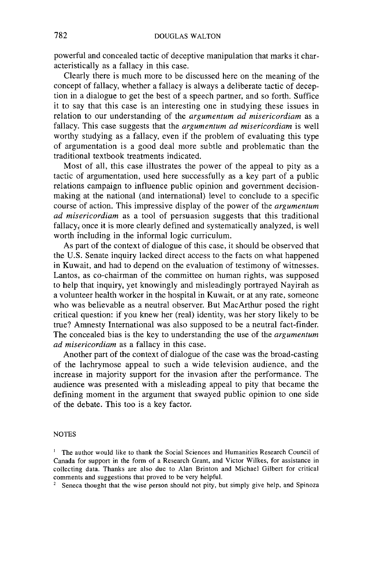powerful and concealed tactic of deceptive manipulation that marks it characteristically as a fallacy in this case.

Clearly there is much more to be discussed here on the meaning of the concept of fallacy, whether a fallacy is always a deliberate tactic of deception in a dialogue to get the best of a speech partner, and so forth. Suffice it to say that this case is an interesting one in studying these issues in relation to our understanding of the *argumentum ad misericordiam* as a fallacy. This case suggests that the *argumentum ad misericordiam* is well worthy studying as a fallacy, even if the problem of evaluating this type of argumentation is a good deal more subtle and problematic than the traditional textbook treatments indicated.

Most of all, this case illustrates the power of the appeal to pity as a tactic of argumentation, used here successfully as a key part of a public relations campaign to influence public opinion and government decisionmaking at the national (and international) level to conclude to a specific course of action. This impressive display of the power of the *argumentum ad misericordiam* as a tool of persuasion suggests that this traditional fallacy, once it is more clearly defined and systematically analyzed, is well worth including in the informal logic curriculum.

As part of the context of dialogue of this case, it should be observed that the U.S. Senate inquiry lacked direct access to the facts on what happened in Kuwait, and had to depend on the evaluation of testimony of witnesses. Lantos, as co-chairman of the committee on human rights, was supposed to help that inquiry, yet knowingly and misleadingly portrayed Nayirah as a volunteer health worker in the hospital in Kuwait, or at any rate, someone who was believable as a neutral observer. But MacArthur posed the right critical question: if you knew her (real) identity, was her story likely to be true? Amnesty International was also supposed to be a neutral fact-finder. The concealed bias is the key to understanding the use of the *argumentum ad misericordiam* as a fallacy in this case.

Another part of the context of dialogue of the case was the broad-casting of the lachrymose appeal to such a wide television audience, and the increase in majority support for the invasion after the performance. The audience was presented with a misleading appeal to pity that became the defining moment in the argument that swayed public opinion to one side of the debate. This too is a key factor.

#### NOTES

<sup>1</sup> The author would like to thank the Social Sciences and Humanities Research Council of Canada for support in the form of a Research Grant, and Victor Wilkes, for assistance in collecting data. Thanks are also due to Alan Brinton and Michael Gilbert for critical comments and suggestions that proved to be very helpful.

 $\frac{2}{3}$  Seneca thought that the wise person should not pity, but simply give help, and Spinoza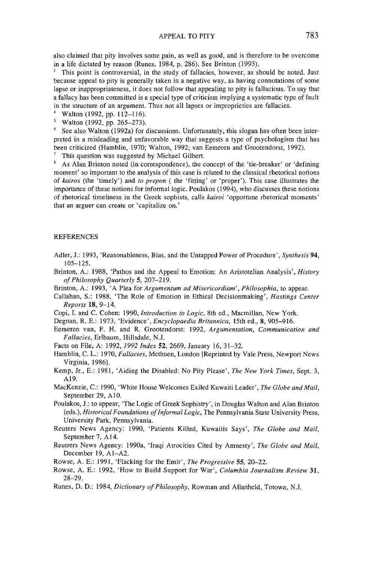also claimed that pity involves some pain, as well as good, and is therefore to be overcome in a life dictated by reason (Runes, 1984, p. 286). See Brinton (1993).

 $3$  This point is controversial, in the study of fallacies, however, as should be noted. Just because appeal to pity is generally taken in a negative way, as having connotations of some lapse or inappropriateness, it does not follow that appealing to pity is fallacious. To say that a fallacy has been committed is a special type of criticism implying a systematic type of fault in the structure of an argument. Thus not all lapses or improprieties are fallacies.

4 Walton (1992, pp. 112-116).

5 Walton (1992, pp. 265-273).

See also Walton (1992a) for discussions. Unfortunately, this slogan has often been interpreted in a misleading and unfavorable way that suggests a type of psychologism that has been criticized (Hamblin, 1970; Walton, 1992; van Eemeren and Grootendorst, 1992).

7 This question was suggested by Michael Gilbert.

<sup>8</sup> As Alan Brinton noted (in correspondence), the concept of the 'tie-breaker' or 'defining moment' so important to the analysis of this case is related to the classical rhetorical notions of *kairos* (the 'timely') and *to prepon (* the 'fitting' or 'proper'). This case illustrates the importance of these notions for informal logic. Poulakos (1994), who discusses these notions of rhetorical timeliness in the Greek sophists, calls *kairoi* 'opportune rhetorical moments' that an arguer can create or 'capitalize on.'

#### REFERENCES

- Adler, J.: 1993, 'Reasonableness, Bias, and the Untapped Power of Procedure', *Synthesis* 94, 105-125.
- Brinton, A.: 1988, 'Pathos and the Appeal to Emotion: An Aristotelian Analysis', *History of Philosophy Quarterly* 5, 207-219.

Brinton, A.: 1993, 'A Plea for *Argumentum ad Misericordiam', Philosophia,* to appear.

Callahan, S.: 1988, 'The Role of Emotion in Ethical Decisionmaking', *Hastings Center Reports* 18, 9-14.

Copi, I. and C. Cohen: 1990, *Introduction to Logic,* 8th ed., Macmillan, New York.

Degnan, R. E.: 1973, 'Evidence', *Encyclopaedia Britannica,* 15th ed., 8, 905-916.

Eemeren van, F. H. and R. Grootendorst: 1992, *Argumentation, Communication and Fallacies,* Erlbaum, Hillsdale, N.J.

Facts on File, A: 1992, *1992 Index* 52, 2669, January 16, 31-32.

Hamblin, C. L.: 1970, *Fallacies,* Methuen, London [Reprinted by Vale Press, Newport News Virginia, 1986].

Kemp, Jr., E.: 1981, 'Aiding the Disabled: No Pity Please', *The New York Times,* Sept. 3, A19.

MacKenzie, C.: 1990, 'White House Welcomes Exiled Kuwaiti Leader', *The Globe and Mail*, September 29, A10.

Poulakos, J.: to appear, 'The Logic of Greek Sophistry', in Douglas Walton and Alan Brinton (eds.), *Historical Foundations of Informal Logic*, The Pennsylvania State University Press, University Park, Pennsylvania.

Reuters News Agency: 1990, 'Patients Killed, Kuwaitis Says', *The Globe and Mail,*  September 7, A14.

Reutrers News Agency: 1990a, 'Iraqi Atrocities Cited by Amnesty', *The Globe and Mail,*  December 19, *A1-A2.* 

- Rowse, A. E.: 1991, 'Flacking for the Emir', *The Progressive* 55, 20-22.
- Rowse, A. E.: 1992, 'How to Build Support for War', *Columbia Journalism Review* 31, 28-29.
- Runes, D. D.: 1984, *Dictionary of Philosophy,* Rowman and Allanheld, Totowa, N.J.